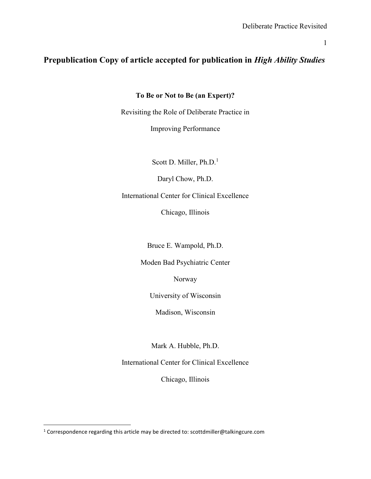# Prepublication Copy of article accepted for publication in High Ability Studies

## To Be or Not to Be (an Expert)?

Revisiting the Role of Deliberate Practice in

Improving Performance

Scott D. Miller, Ph.D.<sup>1</sup>

Daryl Chow, Ph.D.

International Center for Clinical Excellence

Chicago, Illinois

Bruce E. Wampold, Ph.D.

Moden Bad Psychiatric Center

Norway

University of Wisconsin

Madison, Wisconsin

Mark A. Hubble, Ph.D.

International Center for Clinical Excellence

Chicago, Illinois

<sup>&</sup>lt;sup>1</sup> Correspondence regarding this article may be directed to: scottdmiller@talkingcure.com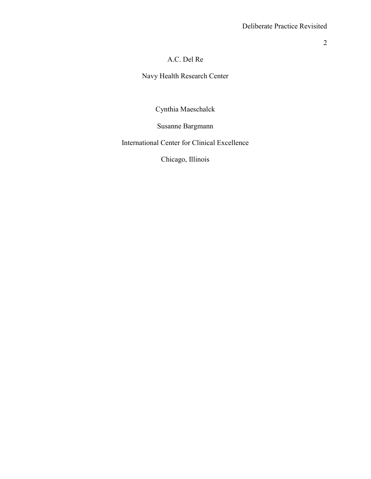# A.C. Del Re

Navy Health Research Center

Cynthia Maeschalck

Susanne Bargmann

International Center for Clinical Excellence

Chicago, Illinois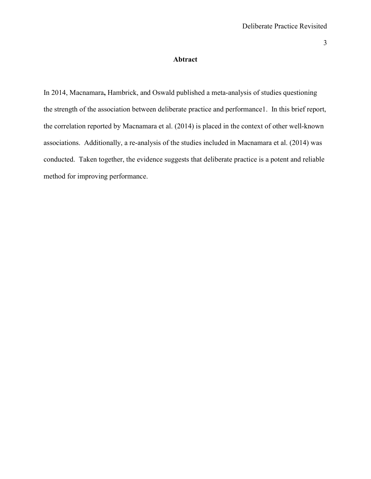### Abtract

In 2014, Macnamara, Hambrick, and Oswald published a meta-analysis of studies questioning the strength of the association between deliberate practice and performance1. In this brief report, the correlation reported by Macnamara et al. (2014) is placed in the context of other well-known associations. Additionally, a re-analysis of the studies included in Macnamara et al. (2014) was conducted. Taken together, the evidence suggests that deliberate practice is a potent and reliable method for improving performance.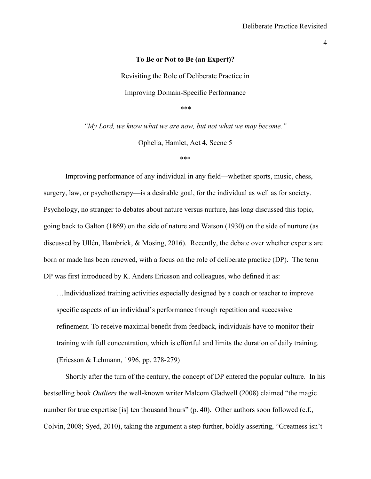#### To Be or Not to Be (an Expert)?

Revisiting the Role of Deliberate Practice in Improving Domain-Specific Performance \*\*\*

"My Lord, we know what we are now, but not what we may become."

Ophelia, Hamlet, Act 4, Scene 5

\*\*\*

 Improving performance of any individual in any field—whether sports, music, chess, surgery, law, or psychotherapy—is a desirable goal, for the individual as well as for society. Psychology, no stranger to debates about nature versus nurture, has long discussed this topic, going back to Galton (1869) on the side of nature and Watson (1930) on the side of nurture (as discussed by Ullén, Hambrick, & Mosing, 2016). Recently, the debate over whether experts are born or made has been renewed, with a focus on the role of deliberate practice (DP). The term DP was first introduced by K. Anders Ericsson and colleagues, who defined it as:

…Individualized training activities especially designed by a coach or teacher to improve specific aspects of an individual's performance through repetition and successive refinement. To receive maximal benefit from feedback, individuals have to monitor their training with full concentration, which is effortful and limits the duration of daily training. (Ericsson & Lehmann, 1996, pp. 278-279)

 Shortly after the turn of the century, the concept of DP entered the popular culture. In his bestselling book Outliers the well-known writer Malcom Gladwell (2008) claimed "the magic number for true expertise [is] ten thousand hours" (p. 40). Other authors soon followed (c.f., Colvin, 2008; Syed, 2010), taking the argument a step further, boldly asserting, "Greatness isn't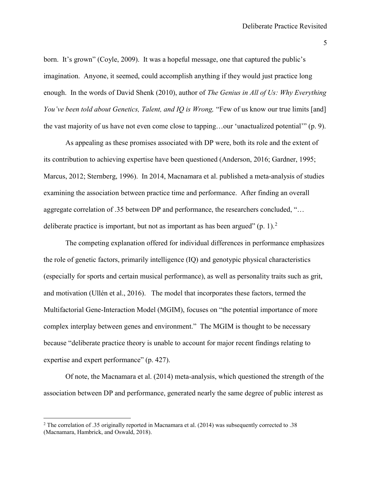born. It's grown" (Coyle, 2009). It was a hopeful message, one that captured the public's imagination. Anyone, it seemed, could accomplish anything if they would just practice long enough. In the words of David Shenk (2010), author of *The Genius in All of Us: Why Everything* You've been told about Genetics, Talent, and IQ is Wrong, "Few of us know our true limits [and] the vast majority of us have not even come close to tapping…our 'unactualized potential'" (p. 9).

 As appealing as these promises associated with DP were, both its role and the extent of its contribution to achieving expertise have been questioned (Anderson, 2016; Gardner, 1995; Marcus, 2012; Sternberg, 1996). In 2014, Macnamara et al. published a meta-analysis of studies examining the association between practice time and performance. After finding an overall aggregate correlation of .35 between DP and performance, the researchers concluded, "… deliberate practice is important, but not as important as has been argued" (p. 1).<sup>2</sup>

The competing explanation offered for individual differences in performance emphasizes the role of genetic factors, primarily intelligence (IQ) and genotypic physical characteristics (especially for sports and certain musical performance), as well as personality traits such as grit, and motivation (Ullén et al., 2016). The model that incorporates these factors, termed the Multifactorial Gene-Interaction Model (MGIM), focuses on "the potential importance of more complex interplay between genes and environment." The MGIM is thought to be necessary because "deliberate practice theory is unable to account for major recent findings relating to expertise and expert performance" (p. 427).

Of note, the Macnamara et al. (2014) meta-analysis, which questioned the strength of the association between DP and performance, generated nearly the same degree of public interest as

 $\overline{a}$ 

<sup>&</sup>lt;sup>2</sup> The correlation of .35 originally reported in Macnamara et al. (2014) was subsequently corrected to .38 (Macnamara, Hambrick, and Oswald, 2018).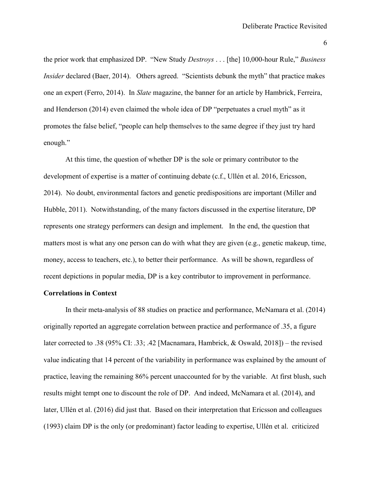the prior work that emphasized DP. "New Study Destroys . . . [the] 10,000-hour Rule," Business Insider declared (Baer, 2014). Others agreed. "Scientists debunk the myth" that practice makes one an expert (Ferro, 2014). In Slate magazine, the banner for an article by Hambrick, Ferreira, and Henderson (2014) even claimed the whole idea of DP "perpetuates a cruel myth" as it promotes the false belief, "people can help themselves to the same degree if they just try hard enough."

At this time, the question of whether DP is the sole or primary contributor to the development of expertise is a matter of continuing debate (c.f., Ullén et al. 2016, Ericsson, 2014). No doubt, environmental factors and genetic predispositions are important (Miller and Hubble, 2011). Notwithstanding, of the many factors discussed in the expertise literature, DP represents one strategy performers can design and implement. In the end, the question that matters most is what any one person can do with what they are given (e.g., genetic makeup, time, money, access to teachers, etc.), to better their performance. As will be shown, regardless of recent depictions in popular media, DP is a key contributor to improvement in performance.

### Correlations in Context

In their meta-analysis of 88 studies on practice and performance, McNamara et al. (2014) originally reported an aggregate correlation between practice and performance of .35, a figure later corrected to .38 (95% CI: .33; .42 [Macnamara, Hambrick, & Oswald, 2018]) – the revised value indicating that 14 percent of the variability in performance was explained by the amount of practice, leaving the remaining 86% percent unaccounted for by the variable. At first blush, such results might tempt one to discount the role of DP. And indeed, McNamara et al. (2014), and later, Ullén et al. (2016) did just that. Based on their interpretation that Ericsson and colleagues (1993) claim DP is the only (or predominant) factor leading to expertise, Ullén et al. criticized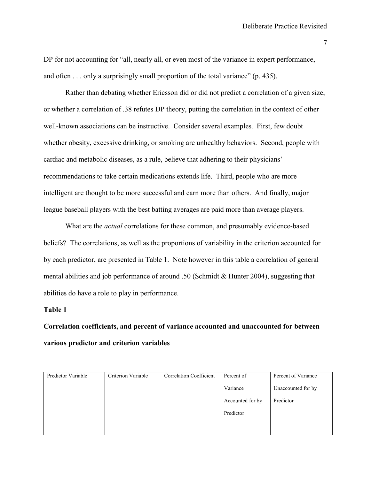DP for not accounting for "all, nearly all, or even most of the variance in expert performance, and often . . . only a surprisingly small proportion of the total variance" (p. 435).

 Rather than debating whether Ericsson did or did not predict a correlation of a given size, or whether a correlation of .38 refutes DP theory, putting the correlation in the context of other well-known associations can be instructive. Consider several examples. First, few doubt whether obesity, excessive drinking, or smoking are unhealthy behaviors. Second, people with cardiac and metabolic diseases, as a rule, believe that adhering to their physicians' recommendations to take certain medications extends life. Third, people who are more intelligent are thought to be more successful and earn more than others. And finally, major league baseball players with the best batting averages are paid more than average players.

What are the *actual* correlations for these common, and presumably evidence-based beliefs? The correlations, as well as the proportions of variability in the criterion accounted for by each predictor, are presented in Table 1. Note however in this table a correlation of general mental abilities and job performance of around .50 (Schmidt & Hunter 2004), suggesting that abilities do have a role to play in performance.

#### Table 1

Correlation coefficients, and percent of variance accounted and unaccounted for between various predictor and criterion variables

| Predictor Variable | Criterion Variable | <b>Correlation Coefficient</b> | Percent of       | Percent of Variance |
|--------------------|--------------------|--------------------------------|------------------|---------------------|
|                    |                    |                                | Variance         | Unaccounted for by  |
|                    |                    |                                | Accounted for by | Predictor           |
|                    |                    |                                | Predictor        |                     |
|                    |                    |                                |                  |                     |
|                    |                    |                                |                  |                     |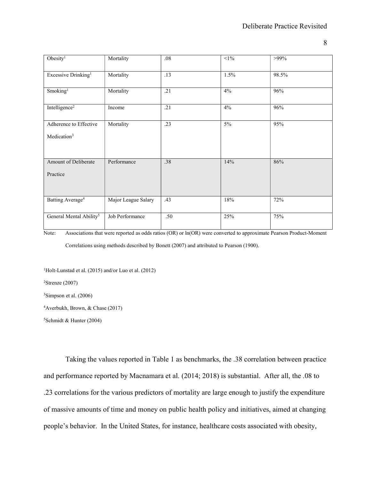| Obesity <sup>1</sup>                              | Mortality           | $.08\,$ | $<$ 1% | $>99\%$ |
|---------------------------------------------------|---------------------|---------|--------|---------|
| Excessive Drinking <sup>1</sup>                   | Mortality           | .13     | 1.5%   | 98.5%   |
| Smoking <sup>1</sup>                              | Mortality           | .21     | 4%     | 96%     |
| Intelligence <sup>2</sup>                         | Income              | .21     | 4%     | 96%     |
| Adherence to Effective<br>Medication <sup>3</sup> | Mortality           | .23     | $5\%$  | 95%     |
|                                                   |                     |         |        |         |
| Amount of Deliberate<br>Practice                  | Performance         | .38     | 14%    | 86%     |
| Batting Average <sup>4</sup>                      | Major League Salary | .43     | 18%    | 72%     |
| General Mental Ability <sup>5</sup>               | Job Performance     | .50     | 25%    | 75%     |

Note: Associations that were reported as odds ratios (OR) or ln(OR) were converted to approximate Pearson Product-Moment Correlations using methods described by Bonett (2007) and attributed to Pearson (1900).

<sup>1</sup>Holt-Lunstad et al. (2015) and/or Luo et al. (2012)

 $2$ Strenze (2007)

<sup>3</sup>Simpson et al. (2006)

<sup>4</sup>Averbukh, Brown, & Chase (2017)

 $5$ Schmidt & Hunter (2004)

Taking the values reported in Table 1 as benchmarks, the .38 correlation between practice and performance reported by Macnamara et al. (2014; 2018) is substantial. After all, the .08 to .23 correlations for the various predictors of mortality are large enough to justify the expenditure of massive amounts of time and money on public health policy and initiatives, aimed at changing people's behavior. In the United States, for instance, healthcare costs associated with obesity,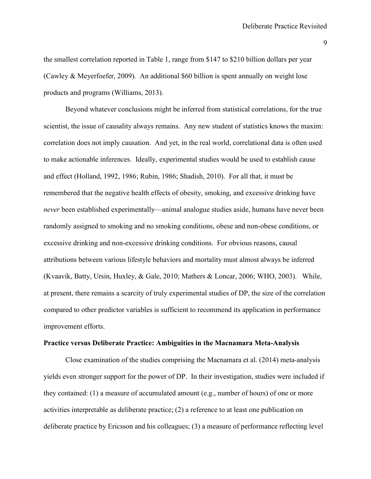the smallest correlation reported in Table 1, range from \$147 to \$210 billion dollars per year (Cawley & Meyerfoefer, 2009). An additional \$60 billion is spent annually on weight lose products and programs (Williams, 2013).

Beyond whatever conclusions might be inferred from statistical correlations, for the true scientist, the issue of causality always remains. Any new student of statistics knows the maxim: correlation does not imply causation. And yet, in the real world, correlational data is often used to make actionable inferences. Ideally, experimental studies would be used to establish cause and effect (Holland, 1992, 1986; Rubin, 1986; Shadish, 2010). For all that, it must be remembered that the negative health effects of obesity, smoking, and excessive drinking have never been established experimentally—animal analogue studies aside, humans have never been randomly assigned to smoking and no smoking conditions, obese and non-obese conditions, or excessive drinking and non-excessive drinking conditions. For obvious reasons, causal attributions between various lifestyle behaviors and mortality must almost always be inferred (Kvaavik, Batty, Ursin, Huxley, & Gale, 2010; Mathers & Loncar, 2006; WHO, 2003). While, at present, there remains a scarcity of truly experimental studies of DP, the size of the correlation compared to other predictor variables is sufficient to recommend its application in performance improvement efforts.

### Practice versus Deliberate Practice: Ambiguities in the Macnamara Meta-Analysis

 Close examination of the studies comprising the Macnamara et al. (2014) meta-analysis yields even stronger support for the power of DP. In their investigation, studies were included if they contained: (1) a measure of accumulated amount (e.g., number of hours) of one or more activities interpretable as deliberate practice; (2) a reference to at least one publication on deliberate practice by Ericsson and his colleagues; (3) a measure of performance reflecting level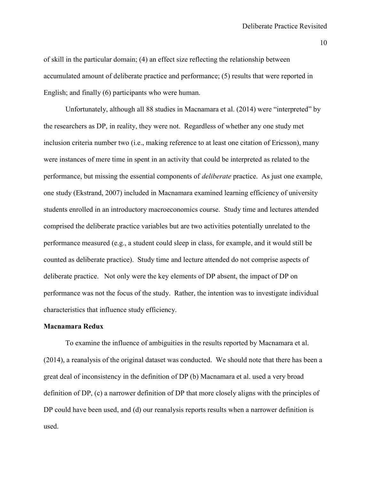of skill in the particular domain; (4) an effect size reflecting the relationship between accumulated amount of deliberate practice and performance; (5) results that were reported in English; and finally (6) participants who were human.

Unfortunately, although all 88 studies in Macnamara et al. (2014) were "interpreted" by the researchers as DP, in reality, they were not. Regardless of whether any one study met inclusion criteria number two (i.e., making reference to at least one citation of Ericsson), many were instances of mere time in spent in an activity that could be interpreted as related to the performance, but missing the essential components of deliberate practice. As just one example, one study (Ekstrand, 2007) included in Macnamara examined learning efficiency of university students enrolled in an introductory macroeconomics course. Study time and lectures attended comprised the deliberate practice variables but are two activities potentially unrelated to the performance measured (e.g., a student could sleep in class, for example, and it would still be counted as deliberate practice). Study time and lecture attended do not comprise aspects of deliberate practice. Not only were the key elements of DP absent, the impact of DP on performance was not the focus of the study. Rather, the intention was to investigate individual characteristics that influence study efficiency.

### Macnamara Redux

To examine the influence of ambiguities in the results reported by Macnamara et al. (2014), a reanalysis of the original dataset was conducted. We should note that there has been a great deal of inconsistency in the definition of DP (b) Macnamara et al. used a very broad definition of DP, (c) a narrower definition of DP that more closely aligns with the principles of DP could have been used, and (d) our reanalysis reports results when a narrower definition is used.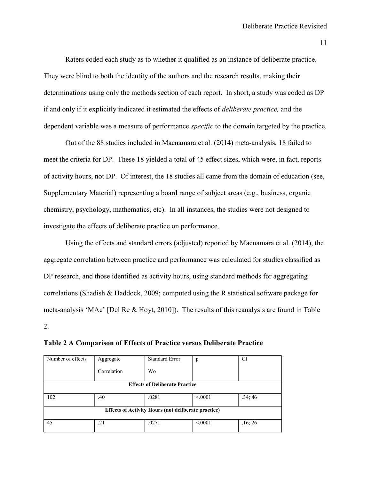Raters coded each study as to whether it qualified as an instance of deliberate practice. They were blind to both the identity of the authors and the research results, making their determinations using only the methods section of each report. In short, a study was coded as DP if and only if it explicitly indicated it estimated the effects of deliberate practice, and the dependent variable was a measure of performance *specific* to the domain targeted by the practice.

Out of the 88 studies included in Macnamara et al. (2014) meta-analysis, 18 failed to meet the criteria for DP. These 18 yielded a total of 45 effect sizes, which were, in fact, reports of activity hours, not DP. Of interest, the 18 studies all came from the domain of education (see, Supplementary Material) representing a board range of subject areas (e.g., business, organic chemistry, psychology, mathematics, etc). In all instances, the studies were not designed to investigate the effects of deliberate practice on performance.

Using the effects and standard errors (adjusted) reported by Macnamara et al. (2014), the aggregate correlation between practice and performance was calculated for studies classified as DP research, and those identified as activity hours, using standard methods for aggregating correlations (Shadish & Haddock, 2009; computed using the R statistical software package for meta-analysis 'MAc' [Del Re & Hoyt, 2010]). The results of this reanalysis are found in Table 2.

| Number of effects                                          | Aggregate   | <b>Standard Error</b> | p       | CI      |  |  |  |
|------------------------------------------------------------|-------------|-----------------------|---------|---------|--|--|--|
|                                                            | Correlation | Wo                    |         |         |  |  |  |
| <b>Effects of Deliberate Practice</b>                      |             |                       |         |         |  |  |  |
| 102                                                        | .40         | .0281                 | < 0.001 | .34;46  |  |  |  |
|                                                            |             |                       |         |         |  |  |  |
| <b>Effects of Activity Hours (not deliberate practice)</b> |             |                       |         |         |  |  |  |
|                                                            |             |                       |         |         |  |  |  |
| 45                                                         | .21         | .0271                 | < 0.001 | .16; 26 |  |  |  |
|                                                            |             |                       |         |         |  |  |  |

Table 2 A Comparison of Effects of Practice versus Deliberate Practice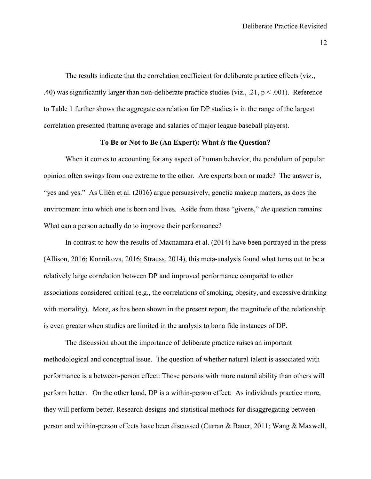The results indicate that the correlation coefficient for deliberate practice effects (viz., .40) was significantly larger than non-deliberate practice studies (viz., .21,  $p < .001$ ). Reference to Table 1 further shows the aggregate correlation for DP studies is in the range of the largest correlation presented (batting average and salaries of major league baseball players).

#### To Be or Not to Be (An Expert): What is the Question?

When it comes to accounting for any aspect of human behavior, the pendulum of popular opinion often swings from one extreme to the other. Are experts born or made? The answer is, "yes and yes." As Ullén et al. (2016) argue persuasively, genetic makeup matters, as does the environment into which one is born and lives. Aside from these "givens," the question remains: What can a person actually do to improve their performance?

 In contrast to how the results of Macnamara et al. (2014) have been portrayed in the press (Allison, 2016; Konnikova, 2016; Strauss, 2014), this meta-analysis found what turns out to be a relatively large correlation between DP and improved performance compared to other associations considered critical (e.g., the correlations of smoking, obesity, and excessive drinking with mortality). More, as has been shown in the present report, the magnitude of the relationship is even greater when studies are limited in the analysis to bona fide instances of DP.

 The discussion about the importance of deliberate practice raises an important methodological and conceptual issue. The question of whether natural talent is associated with performance is a between-person effect: Those persons with more natural ability than others will perform better. On the other hand, DP is a within-person effect: As individuals practice more, they will perform better. Research designs and statistical methods for disaggregating betweenperson and within-person effects have been discussed (Curran & Bauer, 2011; Wang & Maxwell,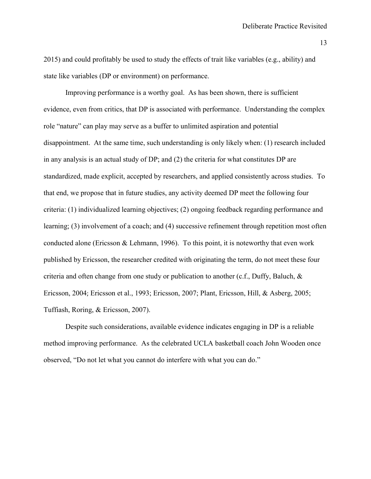2015) and could profitably be used to study the effects of trait like variables (e.g., ability) and state like variables (DP or environment) on performance.

Improving performance is a worthy goal. As has been shown, there is sufficient evidence, even from critics, that DP is associated with performance. Understanding the complex role "nature" can play may serve as a buffer to unlimited aspiration and potential disappointment. At the same time, such understanding is only likely when: (1) research included in any analysis is an actual study of DP; and (2) the criteria for what constitutes DP are standardized, made explicit, accepted by researchers, and applied consistently across studies. To that end, we propose that in future studies, any activity deemed DP meet the following four criteria: (1) individualized learning objectives; (2) ongoing feedback regarding performance and learning; (3) involvement of a coach; and (4) successive refinement through repetition most often conducted alone (Ericsson & Lehmann, 1996). To this point, it is noteworthy that even work published by Ericsson, the researcher credited with originating the term, do not meet these four criteria and often change from one study or publication to another (c.f., Duffy, Baluch, & Ericsson, 2004; Ericsson et al., 1993; Ericsson, 2007; Plant, Ericsson, Hill, & Asberg, 2005; Tuffiash, Roring, & Ericsson, 2007).

Despite such considerations, available evidence indicates engaging in DP is a reliable method improving performance. As the celebrated UCLA basketball coach John Wooden once observed, "Do not let what you cannot do interfere with what you can do."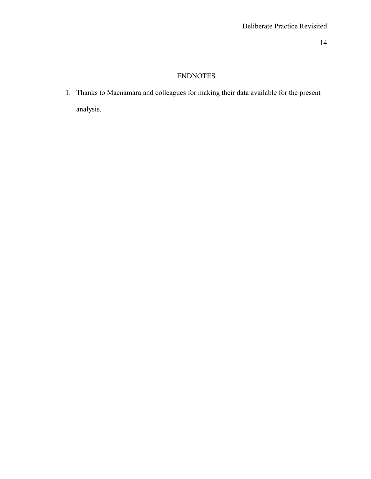## ENDNOTES

1. Thanks to Macnamara and colleagues for making their data available for the present analysis.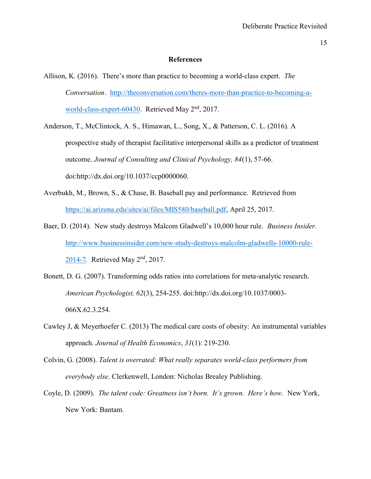#### References

- Allison, K. (2016). There's more than practice to becoming a world-class expert. The Conversation. http://theconversation.com/theres-more-than-practice-to-becoming-aworld-class-expert-60430. Retrieved May 2<sup>nd</sup>, 2017.
- Anderson, T., McClintock, A. S., Himawan, L., Song, X., & Patterson, C. L. (2016). A prospective study of therapist facilitative interpersonal skills as a predictor of treatment outcome. Journal of Consulting and Clinical Psychology, 84(1), 57-66. doi:http://dx.doi.org/10.1037/ccp0000060.
- Averbukh, M., Brown, S., & Chase, B. Baseball pay and performance. Retrieved from https://ai.arizona.edu/sites/ai/files/MIS580/baseball.pdf, April 25, 2017.
- Baer, D. (2014). New study destroys Malcom Gladwell's 10,000 hour rule. Business Insider. http://www.businessinsider.com/new-study-destroys-malcolm-gladwells-10000-rule-2014-7. Retrieved May 2nd, 2017.
- Bonett, D. G. (2007). Transforming odds ratios into correlations for meta-analytic research. American Psychologist, 62(3), 254-255. doi:http://dx.doi.org/10.1037/0003- 066X.62.3.254.
- Cawley J, & Meyerhoefer C. (2013) The medical care costs of obesity: An instrumental variables approach. Journal of Health Economics, 31(1): 219-230.
- Colvin, G. (2008). Talent is overrated: What really separates world-class performers from everybody else. Clerkenwell, London: Nicholas Brealey Publishing.
- Coyle, D. (2009). The talent code: Greatness isn't born. It's grown. Here's how. New York, New York: Bantam.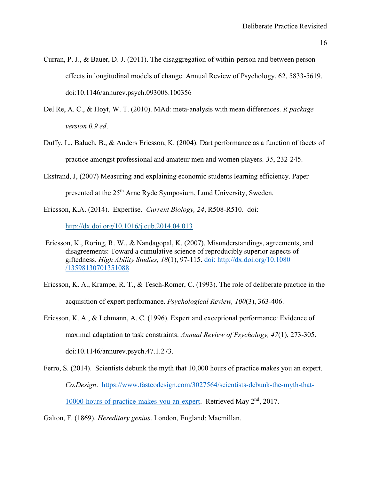Curran, P. J., & Bauer, D. J. (2011). The disaggregation of within-person and between person effects in longitudinal models of change. Annual Review of Psychology, 62, 5833-5619. doi:10.1146/annurev.psych.093008.100356

- Del Re, A. C., & Hoyt, W. T. (2010). MAd: meta-analysis with mean differences. R package version 0.9 ed.
- Duffy, L., Baluch, B., & Anders Ericsson, K. (2004). Dart performance as a function of facets of practice amongst professional and amateur men and women players. 35, 232-245.
- Ekstrand, J, (2007) Measuring and explaining economic students learning efficiency. Paper presented at the 25<sup>th</sup> Arne Ryde Symposium, Lund University, Sweden.
- Ericsson, K.A. (2014). Expertise. Current Biology, 24, R508-R510. doi:

http://dx.doi.org/10.1016/j.cub.2014.04.013

- Ericsson, K., Roring, R. W., & Nandagopal, K. (2007). Misunderstandings, agreements, and disagreements: Toward a cumulative science of reproducibly superior aspects of giftedness. High Ability Studies, 18(1), 97-115. doi: http://dx.doi.org/10.1080 /13598130701351088
- Ericsson, K. A., Krampe, R. T., & Tesch-Romer, C. (1993). The role of deliberate practice in the acquisition of expert performance. Psychological Review, 100(3), 363-406.
- Ericsson, K. A., & Lehmann, A. C. (1996). Expert and exceptional performance: Evidence of maximal adaptation to task constraints. Annual Review of Psychology, 47(1), 273-305. doi:10.1146/annurev.psych.47.1.273.
- Ferro, S. (2014). Scientists debunk the myth that 10,000 hours of practice makes you an expert. Co.Design. https://www.fastcodesign.com/3027564/scientists-debunk-the-myth-that-10000-hours-of-practice-makes-you-an-expert. Retrieved May 2<sup>nd</sup>, 2017.

Galton, F. (1869). Hereditary genius. London, England: Macmillan.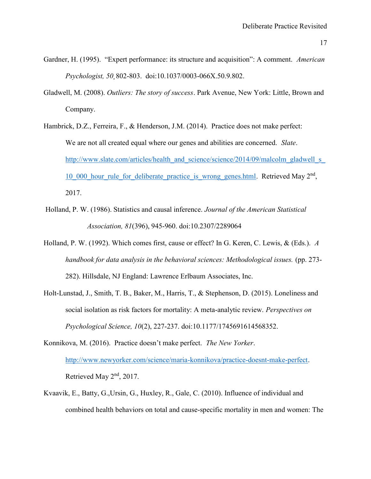- Gardner, H. (1995). "Expert performance: its structure and acquisition": A comment. American Psychologist, 50¸802-803. doi:10.1037/0003-066X.50.9.802.
- Gladwell, M. (2008). Outliers: The story of success. Park Avenue, New York: Little, Brown and Company.
- Hambrick, D.Z., Ferreira, F., & Henderson, J.M. (2014). Practice does not make perfect: We are not all created equal where our genes and abilities are concerned. *Slate*. http://www.slate.com/articles/health\_and\_science/science/2014/09/malcolm\_gladwell\_s 10 000 hour rule for deliberate practice is wrong genes.html. Retrieved May 2<sup>nd</sup>, 2017.
- Holland, P. W. (1986). Statistics and causal inference. Journal of the American Statistical Association, 81(396), 945-960. doi:10.2307/2289064
- Holland, P. W. (1992). Which comes first, cause or effect? In G. Keren, C. Lewis, & (Eds.). A handbook for data analysis in the behavioral sciences: Methodological issues. (pp. 273- 282). Hillsdale, NJ England: Lawrence Erlbaum Associates, Inc.
- Holt-Lunstad, J., Smith, T. B., Baker, M., Harris, T., & Stephenson, D. (2015). Loneliness and social isolation as risk factors for mortality: A meta-analytic review. Perspectives on Psychological Science, 10(2), 227-237. doi:10.1177/1745691614568352.
- Konnikova, M. (2016). Practice doesn't make perfect. The New Yorker. http://www.newyorker.com/science/maria-konnikova/practice-doesnt-make-perfect. Retrieved May 2<sup>nd</sup>, 2017.
- Kvaavik, E., Batty, G.,Ursin, G., Huxley, R., Gale, C. (2010). Influence of individual and combined health behaviors on total and cause-specific mortality in men and women: The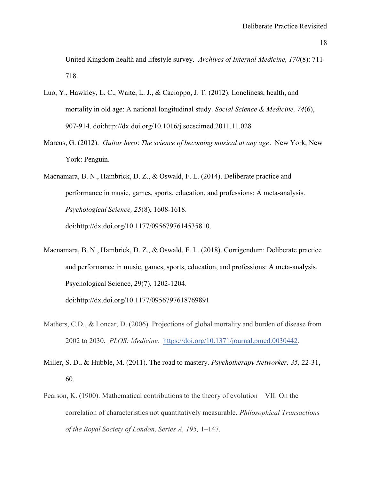United Kingdom health and lifestyle survey. Archives of Internal Medicine, 170(8): 711- 718.

- Luo, Y., Hawkley, L. C., Waite, L. J., & Cacioppo, J. T. (2012). Loneliness, health, and mortality in old age: A national longitudinal study. Social Science & Medicine, 74(6), 907-914. doi:http://dx.doi.org/10.1016/j.socscimed.2011.11.028
- Marcus, G. (2012). Guitar hero: The science of becoming musical at any age. New York, New York: Penguin.

Macnamara, B. N., Hambrick, D. Z., & Oswald, F. L. (2014). Deliberate practice and performance in music, games, sports, education, and professions: A meta-analysis. Psychological Science, 25(8), 1608-1618. doi:http://dx.doi.org/10.1177/0956797614535810.

Macnamara, B. N., Hambrick, D. Z., & Oswald, F. L. (2018). Corrigendum: Deliberate practice and performance in music, games, sports, education, and professions: A meta-analysis. Psychological Science, 29(7), 1202-1204.

doi:http://dx.doi.org/10.1177/0956797618769891

- Mathers, C.D., & Loncar, D. (2006). Projections of global mortality and burden of disease from 2002 to 2030. PLOS: Medicine. https://doi.org/10.1371/journal.pmed.0030442.
- Miller, S. D., & Hubble, M. (2011). The road to mastery. *Psychotherapy Networker*, 35, 22-31, 60.
- Pearson, K. (1900). Mathematical contributions to the theory of evolution—VII: On the correlation of characteristics not quantitatively measurable. Philosophical Transactions of the Royal Society of London, Series A, 195, 1–147.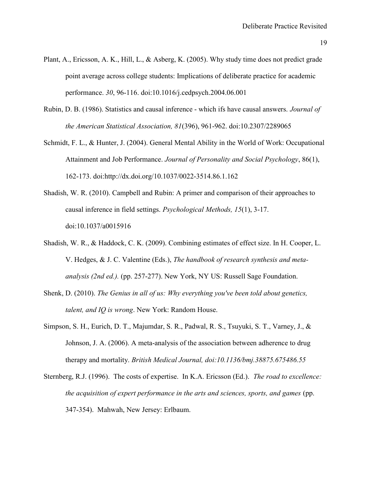- Plant, A., Ericsson, A. K., Hill, L., & Asberg, K. (2005). Why study time does not predict grade point average across college students: Implications of deliberate practice for academic performance. 30, 96-116. doi:10.1016/j.cedpsych.2004.06.001
- Rubin, D. B. (1986). Statistics and causal inference which ifs have causal answers. Journal of the American Statistical Association, 81(396), 961-962. doi:10.2307/2289065
- Schmidt, F. L., & Hunter, J. (2004). General Mental Ability in the World of Work: Occupational Attainment and Job Performance. Journal of Personality and Social Psychology, 86(1), 162-173. doi:http://dx.doi.org/10.1037/0022-3514.86.1.162
- Shadish, W. R. (2010). Campbell and Rubin: A primer and comparison of their approaches to causal inference in field settings. Psychological Methods, 15(1), 3-17. doi:10.1037/a0015916
- Shadish, W. R., & Haddock, C. K. (2009). Combining estimates of effect size. In H. Cooper, L. V. Hedges, & J. C. Valentine (Eds.), The handbook of research synthesis and meta analysis (2nd ed.). (pp. 257-277). New York, NY US: Russell Sage Foundation.
- Shenk, D. (2010). The Genius in all of us: Why everything you've been told about genetics, talent, and IQ is wrong. New York: Random House.
- Simpson, S. H., Eurich, D. T., Majumdar, S. R., Padwal, R. S., Tsuyuki, S. T., Varney, J., & Johnson, J. A. (2006). A meta-analysis of the association between adherence to drug therapy and mortality. British Medical Journal, doi:10.1136/bmj.38875.675486.55
- Sternberg, R.J. (1996). The costs of expertise. In K.A. Ericsson (Ed.). The road to excellence: the acquisition of expert performance in the arts and sciences, sports, and games (pp. 347-354). Mahwah, New Jersey: Erlbaum.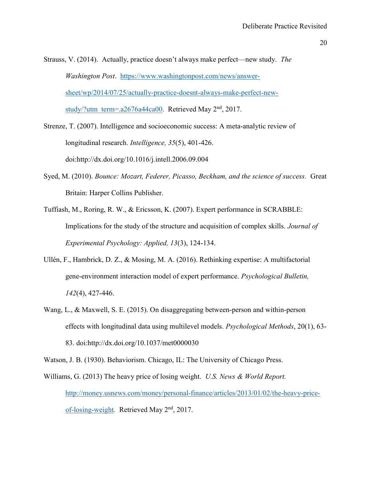Strauss, V. (2014). Actually, practice doesn't always make perfect—new study. The Washington Post. https://www.washingtonpost.com/news/answersheet/wp/2014/07/25/actually-practice-doesnt-always-make-perfect-newstudy/?utm\_term=.a2676a44ca00. Retrieved May  $2<sup>nd</sup>$ , 2017.

Strenze, T. (2007). Intelligence and socioeconomic success: A meta-analytic review of longitudinal research. Intelligence, 35(5), 401-426. doi:http://dx.doi.org/10.1016/j.intell.2006.09.004

- Syed, M. (2010). Bounce: Mozart, Federer, Picasso, Beckham, and the science of success. Great Britain: Harper Collins Publisher.
- Tuffiash, M., Roring, R. W., & Ericsson, K. (2007). Expert performance in SCRABBLE: Implications for the study of the structure and acquisition of complex skills. Journal of Experimental Psychology: Applied, 13(3), 124-134.
- Ullén, F., Hambrick, D. Z., & Mosing, M. A. (2016). Rethinking expertise: A multifactorial gene-environment interaction model of expert performance. Psychological Bulletin, 142(4), 427-446.
- Wang, L., & Maxwell, S. E. (2015). On disaggregating between-person and within-person effects with longitudinal data using multilevel models. Psychological Methods, 20(1), 63- 83. doi:http://dx.doi.org/10.1037/met0000030

Watson, J. B. (1930). Behaviorism. Chicago, IL: The University of Chicago Press.

Williams, G. (2013) The heavy price of losing weight. U.S. News & World Report. http://money.usnews.com/money/personal-finance/articles/2013/01/02/the-heavy-priceof-losing-weight. Retrieved May 2<sup>nd</sup>, 2017.

<sup>20</sup>